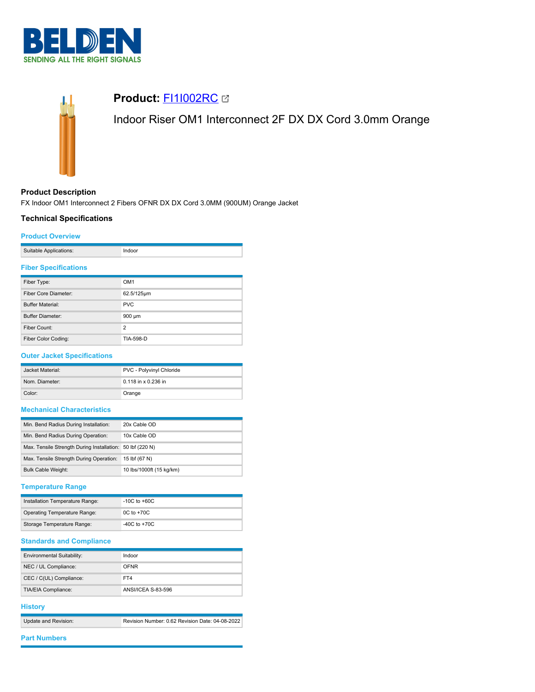



# **Product:** [FI1I002RC](https://catalog.belden.com/index.cfm?event=pd&p=PF_FI1I002RC&tab=downloads)

Indoor Riser OM1 Interconnect 2F DX DX Cord 3.0mm Orange

# **Product Description**

FX Indoor OM1 Interconnect 2 Fibers OFNR DX DX Cord 3.0MM (900UM) Orange Jacket

### **Technical Specifications**

#### **Product Overview**

| Suitable Applications: |  |
|------------------------|--|
|                        |  |

### **Fiber Specifications**

| Fiber Type:                 | OM <sub>1</sub> |
|-----------------------------|-----------------|
| <b>Fiber Core Diameter:</b> | 62.5/125µm      |
| <b>Buffer Material:</b>     | <b>PVC</b>      |
| <b>Buffer Diameter:</b>     | 900 µm          |
| Fiber Count:                | $\overline{2}$  |
| Fiber Color Coding:         | TIA-598-D       |

# **Outer Jacket Specifications**

| Jacket Material: | PVC - Polyvinyl Chloride |  |
|------------------|--------------------------|--|
| Nom. Diameter:   | $0.118$ in x 0.236 in    |  |
| Color:           | Orange                   |  |

# **Mechanical Characteristics**

| Min. Bend Radius During Installation:                     | 20x Cable OD             |
|-----------------------------------------------------------|--------------------------|
| Min. Bend Radius During Operation:                        | 10x Cable OD             |
| Max. Tensile Strength During Installation: 50 lbf (220 N) |                          |
| Max. Tensile Strength During Operation:                   | 15 lbf (67 N)            |
| <b>Bulk Cable Weight:</b>                                 | 10 lbs/1000ft (15 kg/km) |

### **Temperature Range**

| Installation Temperature Range: | $-10C$ to $+60C$ |
|---------------------------------|------------------|
| Operating Temperature Range:    | $0C$ to $+70C$   |
| Storage Temperature Range:      | $-40C$ to $+70C$ |

# **Standards and Compliance**

| Environmental Suitability: | Indoor             |
|----------------------------|--------------------|
| NEC / UL Compliance:       | <b>OFNR</b>        |
| CEC / C(UL) Compliance:    | FT4                |
| TIA/EIA Compliance:        | ANSI/ICEA S-83-596 |

#### **History**

| Update and Revision: | Revision Number: 0.62 Revision Date: 04-08-2022 |
|----------------------|-------------------------------------------------|

# **Part Numbers**